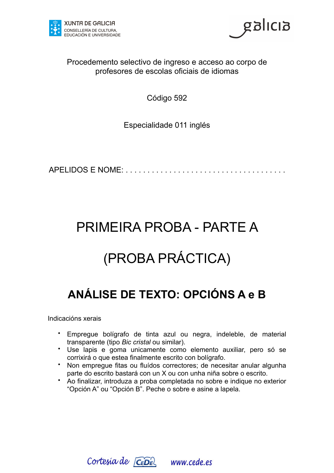



### Procedemento selectivo de ingreso e acceso ao corpo de profesores de escolas oficiais de idiomas

Código 592

Especialidade 011 inglés

APELIDOS E NOME: . . . . . . . . . . . . . . . . . . . . . . . . . . . . . . . . . . . . .

## PRIMEIRA PROBA - PARTE A

# (PROBA PRÁCTICA)

## **ANÁLISE DE TEXTO: OPCIÓNS A e B**

Indicacións xerais

- Empregue bolígrafo de tinta azul ou negra, indeleble, de material transparente (tipo *Bic cristal* ou similar).
- Use lapis e goma unicamente como elemento auxiliar, pero só se corrixirá o que estea finalmente escrito con bolígrafo.
- Non empregue fitas ou fluídos correctores; de necesitar anular algunha parte do escrito bastará con un X ou con unha niña sobre o escrito.
- Ao finalizar, introduza a proba completada no sobre e indique no exterior "Opción A" ou "Opción B". Peche o sobre e asine a lapela.



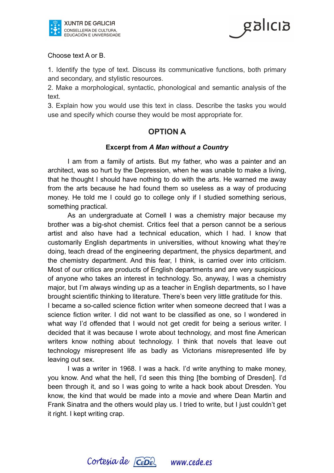



Choose text A or B.

1. Identify the type of text. Discuss its communicative functions, both primary and secondary, and stylistic resources.

2. Make a morphological, syntactic, phonological and semantic analysis of the text.

3. Explain how you would use this text in class. Describe the tasks you would use and specify which course they would be most appropriate for.

### **OPTION A**

### **Excerpt from** *A Man without a Country*

 I am from a family of artists. But my father, who was a painter and an architect, was so hurt by the Depression, when he was unable to make a living, that he thought I should have nothing to do with the arts. He warned me away from the arts because he had found them so useless as a way of producing money. He told me I could go to college only if I studied something serious, something practical.

 As an undergraduate at Cornell I was a chemistry major because my brother was a big-shot chemist. Critics feel that a person cannot be a serious artist and also have had a technical education, which I had. I know that customarily English departments in universities, without knowing what they're doing, teach dread of the engineering department, the physics department, and the chemistry department. And this fear, I think, is carried over into criticism. Most of our critics are products of English departments and are very suspicious of anyone who takes an interest in technology. So, anyway, I was a chemistry major, but I'm always winding up as a teacher in English departments, so I have brought scientific thinking to literature. There's been very little gratitude for this.

I became a so-called science fiction writer when someone decreed that I was a science fiction writer. I did not want to be classified as one, so I wondered in what way I'd offended that I would not get credit for being a serious writer. I decided that it was because I wrote about technology, and most fine American writers know nothing about technology. I think that novels that leave out technology misrepresent life as badly as Victorians misrepresented life by leaving out sex.

 I was a writer in 1968. I was a hack. I'd write anything to make money, you know. And what the hell, I'd seen this thing [the bombing of Dresden]. I'd been through it, and so I was going to write a hack book about Dresden. You know, the kind that would be made into a movie and where Dean Martin and Frank Sinatra and the others would play us. I tried to write, but I just couldn't get it right. I kept writing crap.



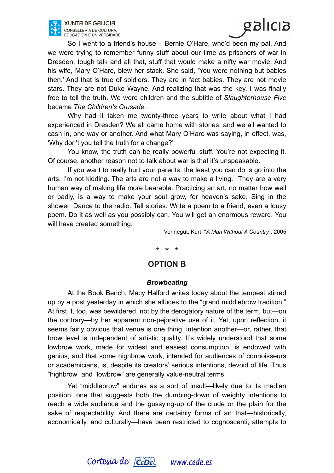



 So I went to a friend's house – Bernie O'Hare, who'd been my pal. And we were trying to remember funny stuff about our time as prisoners of war in Dresden, tough talk and all that, stuff that would make a nifty war movie. And his wife, Mary O'Hare, blew her stack. She said, 'You were nothing but babies then.' And that is true of soldiers. They are in fact babies. They are not movie stars. They are not Duke Wayne. And realizing that was the key. I was finally free to tell the truth. We were children and the subtitle of *Slaughterhouse Five*  became *The Children's Crusade*.

 Why had it taken me twenty-three years to write about what I had experienced in Dresden? We all came home with stories, and we all wanted to cash in, one way or another. And what Mary O'Hare was saying, in effect, was, 'Why don't you tell the truth for a change?'

 You know, the truth can be really powerful stuff. You're not expecting it. Of course, another reason not to talk about war is that it's unspeakable.

 If you want to really hurt your parents, the least you can do is go into the arts. I'm not kidding. The arts are not a way to make a living. They are a very human way of making life more bearable. Practicing an art, no matter how well or badly, is a way to make your soul grow, for heaven's sake. Sing in the shower. Dance to the radio. Tell stories. Write a poem to a friend, even a lousy poem. Do it as well as you possibly can. You will get an enormous reward. You will have created something.

Vonnegut, Kurt. "*A Man Without A Country*", 2005

\* \* \*

### **OPTION B**

### *Browbeating*

At the Book Bench, [Macy Halford writes today](http://www.newyorker.com/online/blogs/books/2011/02/on-middlebrow.html) about the tempest stirred up by a post yesterday in which she alludes to the "grand middlebrow tradition." At first, I, too, was bewildered, not by the derogatory nature of the term, but—on the contrary—by her apparent non-pejorative use of it. Yet, upon reflection, it seems fairly obvious that venue is one thing, intention another—or, rather, that brow level is independent of artistic quality. It's widely understood that some lowbrow work, made for widest and easiest consumption, is endowed with genius, and that some highbrow work, intended for audiences of connoisseurs or academicians, is, despite its creators' serious intentions, devoid of life. Thus "highbrow" and "lowbrow" are generally value-neutral terms.

 Yet "middlebrow" endures as a sort of insult—likely due to its median position, one that suggests both the dumbing-down of weighty intentions to reach a wide audience and the gussying-up of the crude or the plain for the sake of respectability. And there are certainly forms of art that—historically, economically, and culturally—have been restricted to cognoscenti; attempts to



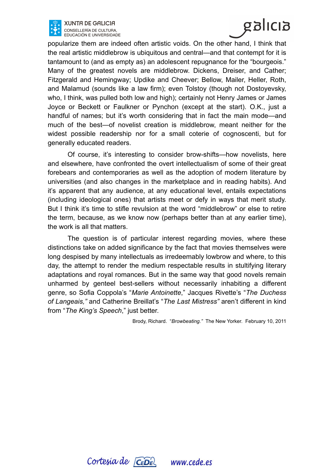



popularize them are indeed often artistic voids. On the other hand, I think that the real artistic middlebrow is ubiquitous and central—and that contempt for it is tantamount to (and as empty as) an adolescent repugnance for the "bourgeois." Many of the greatest novels are middlebrow. Dickens, Dreiser, and Cather; Fitzgerald and Hemingway; Updike and Cheever; Bellow, Mailer, Heller, Roth, and Malamud (sounds like a law firm); even Tolstoy (though not Dostoyevsky, who, I think, was pulled both low and high); certainly not Henry James or James Joyce or Beckett or Faulkner or Pynchon (except at the start). O.K., just a handful of names; but it's worth considering that in fact the main mode—and much of the best—of novelist creation is middlebrow, meant neither for the widest possible readership nor for a small coterie of cognoscenti, but for generally educated readers.

 Of course, it's interesting to consider brow-shifts—how novelists, here and elsewhere, have confronted the overt intellectualism of some of their great forebears and contemporaries as well as the adoption of modern literature by universities (and also changes in the marketplace and in reading habits). And it's apparent that any audience, at any educational level, entails expectations (including ideological ones) that artists meet or defy in ways that merit study. But I think it's time to stifle revulsion at the word "middlebrow" or else to retire the term, because, as we know now (perhaps better than at any earlier time), the work is all that matters.

 The question is of particular interest regarding movies, where these distinctions take on added significance by the fact that movies themselves were long despised by many intellectuals as irredeemably lowbrow and where, to this day, the attempt to render the medium respectable results in stultifying literary adaptations and royal romances. But in the same way that good novels remain unharmed by genteel best-sellers without necessarily inhabiting a different genre, so Sofia Coppola's "*Marie Antoinette*," Jacques Rivette's "*The Duchess of Langeais,"* and Catherine Breillat's "*The Last Mistress"* aren't different in kind from "*The King's Speech*," just better.

Brody, Richard. "*Browbeating."* The New Yorker. February 10, 2011

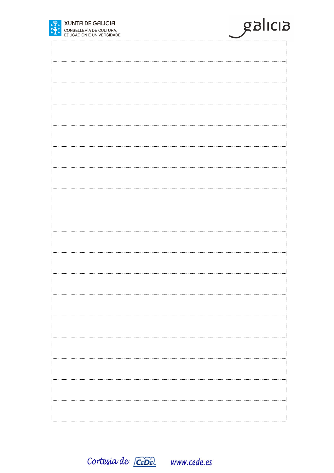



| $1 - 1 - 1$ |
|-------------|
|             |
|             |
|             |
|             |

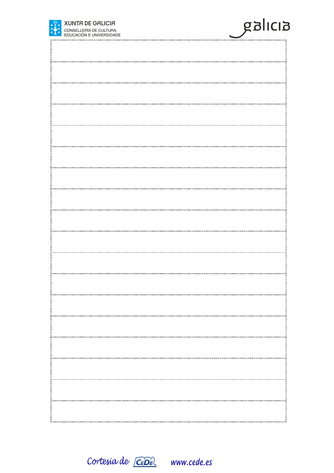



| $1 - 1 - 1$ |
|-------------|
|             |
|             |
|             |
|             |

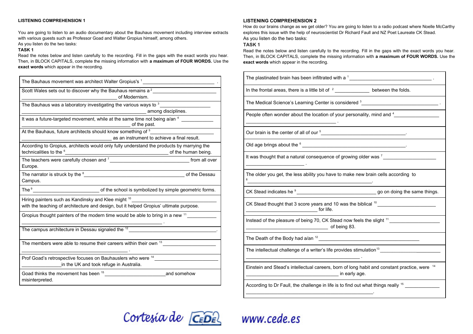### **LISTENING COMPREHENSION 1**

You are going to listen to an audio documentary about the Bauhaus movement including interview extracts with various guests such as Professor Goad and Walter Gropius himself, among others. As you listen do the two tasks:

**TASK 1**

Read the notes below and listen carefully to the recording. Fill in the gaps with the exact words you hear. Then, in BLOCK CAPITALS, complete the missing information with **a maximum of FOUR WORDS.** Use the **exact words** which appear in the recording.

| The Bauhaus movement was architect Walter Gropius's 1                                                                                                    |               |
|----------------------------------------------------------------------------------------------------------------------------------------------------------|---------------|
| Scott Wales sets out to discover why the Bauhaus remains a $2^2$<br>of Modernism.                                                                        |               |
| The Bauhaus was a laboratory investigating the various ways to $3$<br>among disciplines.                                                                 |               |
| It was a future-targeted movement, while at the same time not being a/an 4<br>of the past.                                                               |               |
| At the Bauhaus, future architects should know something of <sup>5</sup><br>as an instrument to achieve a final result.                                   |               |
| According to Gropius, architects would only fully understand the products by marrying the<br>technicalities to the <sup>6</sup><br>of the human being.   |               |
| The teachers were carefully chosen and 7<br>Europe.                                                                                                      | from all over |
| The narrator is struck by the $88$<br>of the Dessau<br>Campus.                                                                                           |               |
| The $9$<br>of the school is symbolized by simple geometric forms.                                                                                        |               |
| Hiring painters such as Kandinsky and Klee might <sup>10</sup><br>with the teaching of architecture and design, but it helped Gropius' ultimate purpose. |               |
| Gropius thought painters of the modern time would be able to bring in a new $11$                                                                         |               |
| The campus architecture in Dessau signaled the <sup>12</sup>                                                                                             |               |
| The members were able to resume their careers within their own <sup>13</sup>                                                                             |               |
| Prof Goad's retrospective focuses on Bauhauslers who were <sup>14</sup><br>in the UK and took refuge in Australia.                                       |               |
| Goad thinks the movement has been <sup>15</sup><br>and somehow<br>misinterpreted.                                                                        |               |

| In the frontal areas, there is a little bit of $2$ ______________ between the folds.                             |
|------------------------------------------------------------------------------------------------------------------|
| The Medical Science's Learning Center is considered 3 [19] The Medical Science's Learning Center is considered 3 |
| People often wonder about the location of your personality, mind and <sup>4</sup><br><u>.</u> .                  |
|                                                                                                                  |
|                                                                                                                  |
|                                                                                                                  |
| The older you get, the less ability you have to make new brain cells according to                                |
|                                                                                                                  |
|                                                                                                                  |
|                                                                                                                  |
| Instead of the pleasure of being 70, CK Stead now feels the slight <sup>11</sup>                                 |
|                                                                                                                  |
| The intellectual challenge of a writer's life provides stimulation <sup>13</sup>                                 |
| 14<br>Einstein and Stead's intellectual careers, born of long habit and constant practice, were<br>in early age. |





### **LISTENING COMPREHENSION 2**

How do our brains change as we get older? You are going to listen to a radio podcast where Noelle McCarthy explores this issue with the help of neuroscientist Dr Richard Faull and NZ Poet Laureate CK Stead. As you listen do the two tasks:

### **TASK 1**

Read the notes below and listen carefully to the recording. Fill in the gaps with the exact words you hear. Then, in BLOCK CAPITALS, complete the missing information with **a maximum of FOUR WORDS.** Use the **exact words** which appear in the recording.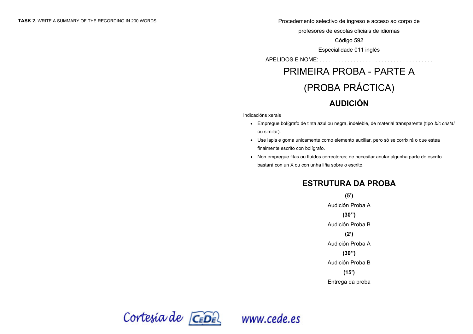TASK 2. WRITE A SUMMARY OF THE RECORDING IN 200 WORDS. **Procedemento selectivo de ingreso e acceso ao corpo de** profesores de escolas oficiais de idiomas Código 592

Especialidade 011 inglés

APELIDOS E NOME: . . . . . . . . . . . . . . . . . . . . . . . . . . . . . . . . . . . . .

# PRIMEIRA PROBA - PARTE A (PROBA PRÁCTICA) **AUDICIÓN**

### Indicacións xerais

- Empregue bolígrafo de tinta azul ou negra, indeleble, de material transparente (tipo *bic cristal* ou similar).
- Use lapis e goma unicamente como elemento auxiliar, pero só se corrixirá o que estea finalmente escrito con bolígrafo.
- Non empregue fitas ou fluídos correctores; de necesitar anular algunha parte do escrito bastará con un X ou con unha liña sobre o escrito.

### **ESTRUTURA DA PROBA**

**(5')**

Audición Proba A

**(30'')**

Audición Proba B

**(2')**

Audición Proba A

**(30'')**

Audición Proba B

**(15')**

Entrega da proba

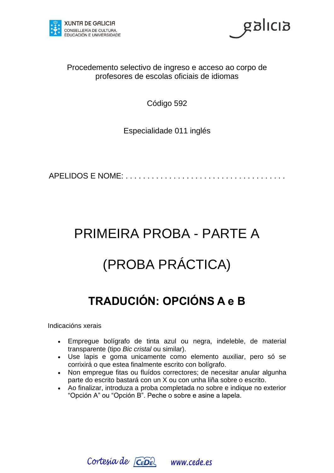



### Procedemento selectivo de ingreso e acceso ao corpo de profesores de escolas oficiais de idiomas

Código 592

Especialidade 011 inglés

APELIDOS E NOME: . . . . . . . . . . . . . . . . . . . . . . . . . . . . . . . . . . . . .

# PRIMEIRA PROBA - PARTE A

# (PROBA PRÁCTICA)

## **TRADUCIÓN: OPCIÓNS A e B**

Indicacións xerais

- Empregue bolígrafo de tinta azul ou negra, indeleble, de material transparente (tipo *Bic cristal* ou similar).
- Use lapis e goma unicamente como elemento auxiliar, pero só se corrixirá o que estea finalmente escrito con bolígrafo.
- Non empregue fitas ou fluídos correctores; de necesitar anular algunha parte do escrito bastará con un X ou con unha liña sobre o escrito.
- Ao finalizar, introduza a proba completada no sobre e indique no exterior "Opción A" ou "Opción B". Peche o sobre e asine a lapela.



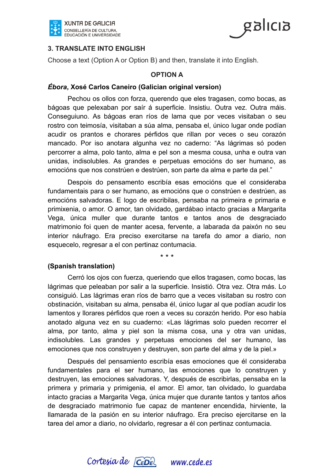



### **3. TRANSLATE INTO ENGLISH**

Choose a text (Option A or Option B) and then, translate it into English.

### **OPTION A**

### *Ébora***, Xosé Carlos Caneiro (Galician original version)**

Pechou os ollos con forza, querendo que eles tragasen, como bocas, as bágoas que pelexaban por saír á superficie. Insistiu. Outra vez. Outra máis. Conseguiuno. As bágoas eran ríos de lama que por veces visitaban o seu rostro con teimosía, visitaban a súa alma, pensaba el, único lugar onde podían acudir os prantos e chorares pérfidos que rillan por veces o seu corazón mancado. Por iso anotara algunha vez no caderno: "As lágrimas só poden percorrer a alma, polo tanto, alma e pel son a mesma cousa, unha e outra van unidas, indisolubles. As grandes e perpetuas emocións do ser humano, as emocións que nos constrúen e destrúen, son parte da alma e parte da pel."

Despois do pensamento escribía esas emocións que el consideraba fundamentais para o ser humano, as emocións que o constrúen e destrúen, as emocións salvadoras. E logo de escribilas, pensaba na primeira e primaria e primixenia, o amor. O amor, tan olvidado, gardábao intacto gracias a Margarita Vega, única muller que durante tantos e tantos anos de desgraciado matrimonio foi quen de manter acesa, fervente, a labarada da paixón no seu interior náufrago. Era preciso exercitarse na tarefa do amor a diario, non esquecelo, regresar a el con pertinaz contumacia.

\* \* \*

### **(Spanish translation)**

Cerró los ojos con fuerza, queriendo que ellos tragasen, como bocas, las lágrimas que peleaban por salir a la superficie. Insistió. Otra vez. Otra más. Lo consiguió. Las lágrimas eran ríos de barro que a veces visitaban su rostro con obstinación, visitaban su alma, pensaba él, único lugar al que podían acudir los lamentos y llorares pérfidos que roen a veces su corazón herido. Por eso había anotado alguna vez en su cuaderno: «Las lágrimas solo pueden recorrer el alma, por tanto, alma y piel son la misma cosa, una y otra van unidas, indisolubles. Las grandes y perpetuas emociones del ser humano, las emociones que nos construyen y destruyen, son parte del alma y de la piel.»

Después del pensamiento escribía esas emociones que él consideraba fundamentales para el ser humano, las emociones que lo construyen y destruyen, las emociones salvadoras. Y, después de escribirlas, pensaba en la primera y primaria y primigenia, el amor. El amor, tan olvidado, lo guardaba intacto gracias a Margarita Vega, única mujer que durante tantos y tantos años de desgraciado matrimonio fue capaz de mantener encendida, hirviente, la llamarada de la pasión en su interior náufrago. Era preciso ejercitarse en la tarea del amor a diario, no olvidarlo, regresar a él con pertinaz contumacia.



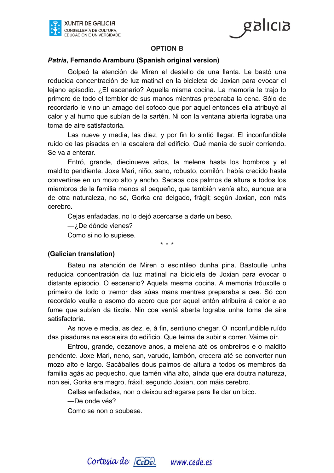



### **OPTION B**

### *Patria***, Fernando Aramburu (Spanish original version)**

Golpeó la atención de Miren el destello de una llanta. Le bastó una reducida concentración de luz matinal en la bicicleta de Joxian para evocar el lejano episodio. ¿El escenario? Aquella misma cocina. La memoria le trajo lo primero de todo el temblor de sus manos mientras preparaba la cena. Sólo de recordarlo le vino un amago del sofoco que por aquel entonces ella atribuyó al calor y al humo que subían de la sartén. Ni con la ventana abierta lograba una toma de aire satisfactoria.

Las nueve y media, las diez, y por fin lo sintió llegar. El inconfundible ruido de las pisadas en la escalera del edificio. Qué manía de subir corriendo. Se va a enterar.

Entró, grande, diecinueve años, la melena hasta los hombros y el maldito pendiente. Joxe Mari, niño, sano, robusto, comilón, había crecido hasta convertirse en un mozo alto y ancho. Sacaba dos palmos de altura a todos los miembros de la familia menos al pequeño, que también venía alto, aunque era de otra naturaleza, no sé, Gorka era delgado, frágil; según Joxian, con más cerebro.

Cejas enfadadas, no lo dejó acercarse a darle un beso.

 $\rightarrow$ *i*. De dónde vienes?

Como si no lo supiese.

\* \* \*

#### **(Galician translation)**

Bateu na atención de Miren o escintileo dunha pina. Bastoulle unha reducida concentración da luz matinal na bicicleta de Joxian para evocar o distante episodio. O escenario? Aquela mesma cociña. A memoria tróuxolle o primeiro de todo o tremor das súas mans mentres preparaba a cea. Só con recordalo veulle o asomo do acoro que por aquel entón atribuíra á calor e ao fume que subían da tixola. Nin coa ventá aberta lograba unha toma de aire satisfactoria.

As nove e media, as dez, e, á fin, sentiuno chegar. O inconfundible ruído das pisaduras na escaleira do edificio. Que teima de subir a correr. Vaime oír.

Entrou, grande, dezanove anos, a melena até os ombreiros e o maldito pendente. Joxe Mari, neno, san, varudo, lambón, crecera até se converter nun mozo alto e largo. Sacáballes dous palmos de altura a todos os membros da familia agás ao pequecho, que tamén viña alto, aínda que era doutra natureza, non sei, Gorka era magro, fráxil; segundo Joxian, con máis cerebro.

Cellas enfadadas, non o deixou achegarse para lle dar un bico.

—De onde vés?

Como se non o soubese.